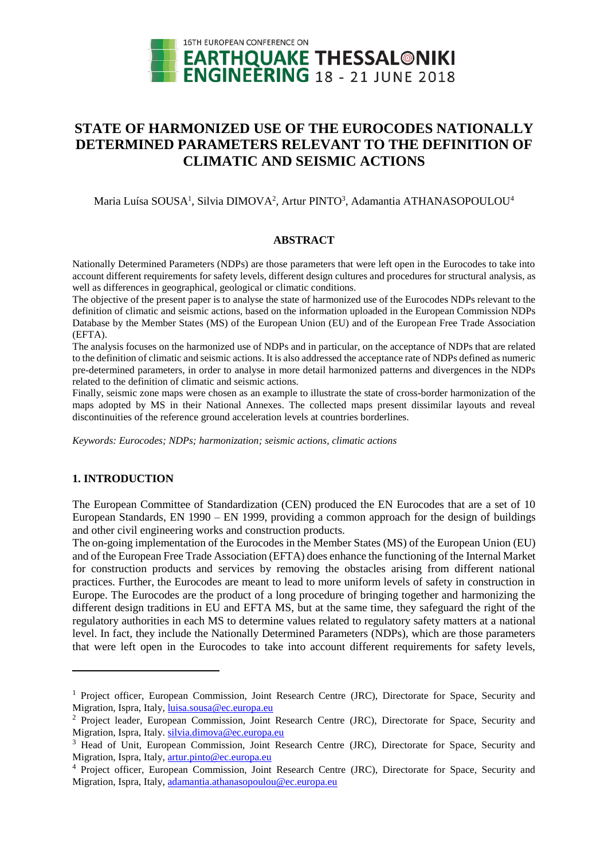

# **STATE OF HARMONIZED USE OF THE EUROCODES NATIONALLY DETERMINED PARAMETERS RELEVANT TO THE DEFINITION OF CLIMATIC AND SEISMIC ACTIONS**

Maria Luísa SOUSA<sup>1</sup>, Silvia DIMOVA<sup>2</sup>, Artur PINTO<sup>3</sup>, Adamantia ATHANASOPOULOU<sup>4</sup>

#### **ABSTRACT**

Nationally Determined Parameters (NDPs) are those parameters that were left open in the Eurocodes to take into account different requirements for safety levels, different design cultures and procedures for structural analysis, as well as differences in geographical, geological or climatic conditions.

The objective of the present paper is to analyse the state of harmonized use of the Eurocodes NDPs relevant to the definition of climatic and seismic actions, based on the information uploaded in the European Commission NDPs Database by the Member States (MS) of the European Union (EU) and of the European Free Trade Association (EFTA).

The analysis focuses on the harmonized use of NDPs and in particular, on the acceptance of NDPs that are related to the definition of climatic and seismic actions. It is also addressed the acceptance rate of NDPs defined as numeric pre-determined parameters, in order to analyse in more detail harmonized patterns and divergences in the NDPs related to the definition of climatic and seismic actions.

Finally, seismic zone maps were chosen as an example to illustrate the state of cross-border harmonization of the maps adopted by MS in their National Annexes. The collected maps present dissimilar layouts and reveal discontinuities of the reference ground acceleration levels at countries borderlines.

*Keywords: Eurocodes; NDPs; harmonization; seismic actions, climatic actions*

### **1. INTRODUCTION**

l

The European Committee of Standardization (CEN) produced the EN Eurocodes that are a set of 10 European Standards, EN 1990 – EN 1999, providing a common approach for the design of buildings and other civil engineering works and construction products.

The on-going implementation of the Eurocodes in the Member States (MS) of the European Union (EU) and of the European Free Trade Association (EFTA) does enhance the functioning of the Internal Market for construction products and services by removing the obstacles arising from different national practices. Further, the Eurocodes are meant to lead to more uniform levels of safety in construction in Europe. The Eurocodes are the product of a long procedure of bringing together and harmonizing the different design traditions in EU and EFTA MS, but at the same time, they safeguard the right of the regulatory authorities in each MS to determine values related to regulatory safety matters at a national level. In fact, they include the Nationally Determined Parameters (NDPs), which are those parameters that were left open in the Eurocodes to take into account different requirements for safety levels,

<sup>&</sup>lt;sup>1</sup> Project officer, European Commission, Joint Research Centre (JRC), Directorate for Space, Security and Migration, Ispra, Italy, [luisa.sousa@ec.europa.eu](mailto:luisa.sousa@ec.europa.eu)

<sup>&</sup>lt;sup>2</sup> Project leader, European Commission, Joint Research Centre (JRC), Directorate for Space, Security and Migration, Ispra, Italy. [silvia.dimova@ec.europa.eu](mailto:silvia.dimova@ec.europa.eu)

<sup>&</sup>lt;sup>3</sup> Head of Unit, European Commission, Joint Research Centre (JRC), Directorate for Space, Security and Migration, Ispra, Italy, [artur.pinto@ec.europa.eu](mailto:artur.pinto@ec.europa.eu)

<sup>4</sup> Project officer, European Commission, Joint Research Centre (JRC), Directorate for Space, Security and Migration, Ispra, Italy, [adamantia.athanasopoulou@ec.europa.eu](mailto:adamantia.athanasopoulou@ec.europa.eu)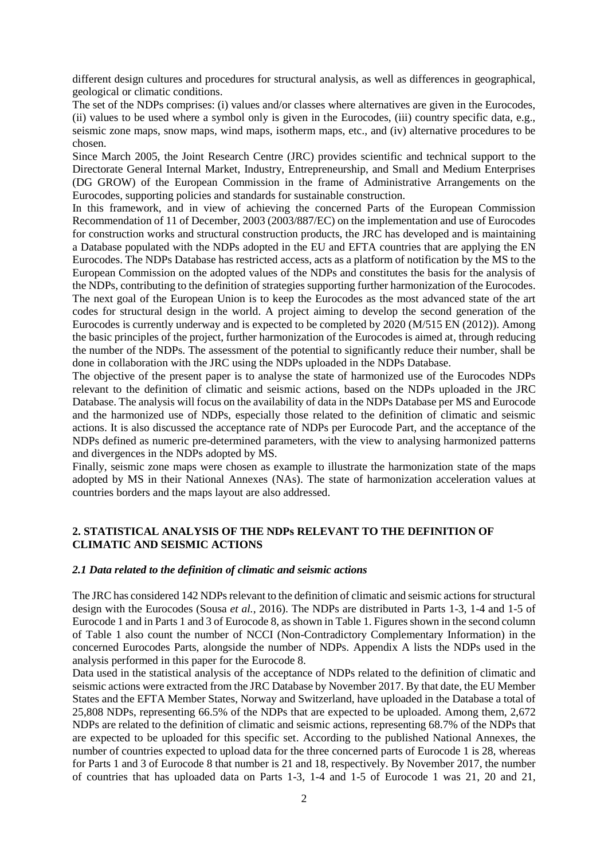different design cultures and procedures for structural analysis, as well as differences in geographical, geological or climatic conditions.

The set of the NDPs comprises: (i) values and/or classes where alternatives are given in the Eurocodes, (ii) values to be used where a symbol only is given in the Eurocodes, (iii) country specific data, e.g., seismic zone maps, snow maps, wind maps, isotherm maps, etc., and (iv) alternative procedures to be chosen.

Since March 2005, the Joint Research Centre (JRC) provides scientific and technical support to the Directorate General Internal Market, Industry, Entrepreneurship, and Small and Medium Enterprises (DG GROW) of the European Commission in the frame of Administrative Arrangements on the Eurocodes, supporting policies and standards for sustainable construction.

In this framework, and in view of achieving the concerned Parts of the European Commission Recommendation of 11 of December, 2003 (2003/887/EC) on the implementation and use of Eurocodes for construction works and structural construction products, the JRC has developed and is maintaining a Database populated with the NDPs adopted in the EU and EFTA countries that are applying the EN Eurocodes. The NDPs Database has restricted access, acts as a platform of notification by the MS to the European Commission on the adopted values of the NDPs and constitutes the basis for the analysis of the NDPs, contributing to the definition of strategies supporting further harmonization of the Eurocodes. The next goal of the European Union is to keep the Eurocodes as the most advanced state of the art codes for structural design in the world. A project aiming to develop the second generation of the Eurocodes is currently underway and is expected to be completed by 2020 (M/515 EN (2012)). Among the basic principles of the project, further harmonization of the Eurocodes is aimed at, through reducing the number of the NDPs. The assessment of the potential to significantly reduce their number, shall be done in collaboration with the JRC using the NDPs uploaded in the NDPs Database.

The objective of the present paper is to analyse the state of harmonized use of the Eurocodes NDPs relevant to the definition of climatic and seismic actions, based on the NDPs uploaded in the JRC Database. The analysis will focus on the availability of data in the NDPs Database per MS and Eurocode and the harmonized use of NDPs, especially those related to the definition of climatic and seismic actions. It is also discussed the acceptance rate of NDPs per Eurocode Part, and the acceptance of the NDPs defined as numeric pre-determined parameters, with the view to analysing harmonized patterns and divergences in the NDPs adopted by MS.

Finally, seismic zone maps were chosen as example to illustrate the harmonization state of the maps adopted by MS in their National Annexes (NAs). The state of harmonization acceleration values at countries borders and the maps layout are also addressed.

# **2. STATISTICAL ANALYSIS OF THE NDPs RELEVANT TO THE DEFINITION OF CLIMATIC AND SEISMIC ACTIONS**

### *2.1 Data related to the definition of climatic and seismic actions*

The JRC has considered 142 NDPs relevant to the definition of climatic and seismic actions for structural design with the Eurocodes (Sousa *et al.*, 2016). The NDPs are distributed in Parts 1-3, 1-4 and 1-5 of Eurocode 1 and in Parts 1 and 3 of Eurocode 8, as shown i[n Table 1.](#page-2-0) Figures shown in the second column of [Table 1](#page-2-0) also count the number of NCCI (Non-Contradictory Complementary Information) in the concerned Eurocodes Parts, alongside the number of NDPs. Appendix A lists the NDPs used in the analysis performed in this paper for the Eurocode 8.

Data used in the statistical analysis of the acceptance of NDPs related to the definition of climatic and seismic actions were extracted from the JRC Database by November 2017. By that date, the EU Member States and the EFTA Member States, Norway and Switzerland, have uploaded in the Database a total of 25,808 NDPs, representing 66.5% of the NDPs that are expected to be uploaded. Among them, 2,672 NDPs are related to the definition of climatic and seismic actions, representing 68.7% of the NDPs that are expected to be uploaded for this specific set. According to the published National Annexes, the number of countries expected to upload data for the three concerned parts of Eurocode 1 is 28, whereas for Parts 1 and 3 of Eurocode 8 that number is 21 and 18, respectively. By November 2017, the number of countries that has uploaded data on Parts 1-3, 1-4 and 1-5 of Eurocode 1 was 21, 20 and 21,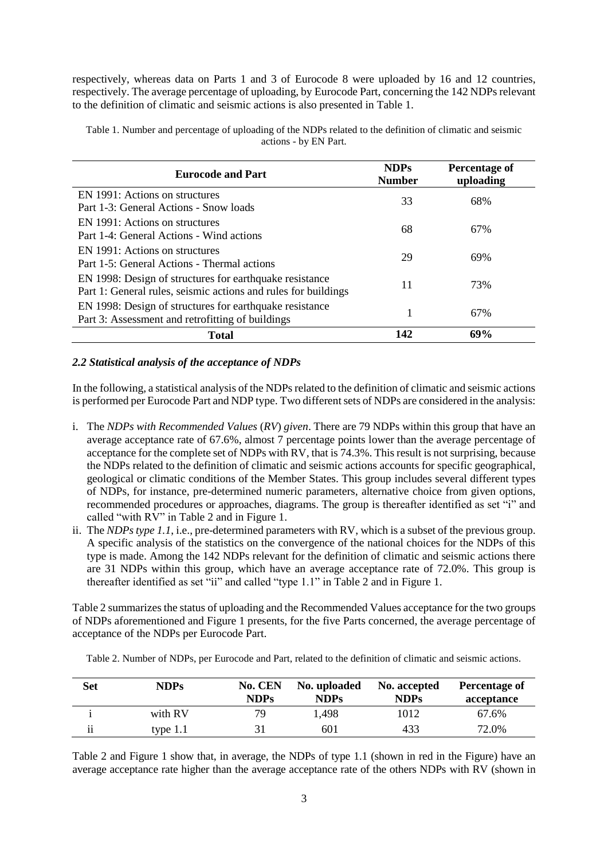respectively, whereas data on Parts 1 and 3 of Eurocode 8 were uploaded by 16 and 12 countries, respectively. The average percentage of uploading, by Eurocode Part, concerning the 142 NDPs relevant to the definition of climatic and seismic actions is also presented in [Table 1.](#page-2-0)

| <b>Eurocode and Part</b>                                                                                                  | <b>NDPs</b><br><b>Number</b> | Percentage of<br>uploading |
|---------------------------------------------------------------------------------------------------------------------------|------------------------------|----------------------------|
| EN 1991: Actions on structures<br>Part 1-3: General Actions - Snow loads                                                  | 33                           | 68%                        |
| EN 1991: Actions on structures<br>Part 1-4: General Actions - Wind actions                                                | 68                           | 67%                        |
| EN 1991: Actions on structures<br>Part 1-5: General Actions - Thermal actions                                             | 29                           | 69%                        |
| EN 1998: Design of structures for earthquake resistance<br>Part 1: General rules, seismic actions and rules for buildings | 11                           | 73%                        |
| EN 1998: Design of structures for earthquake resistance<br>Part 3: Assessment and retrofitting of buildings               | 1                            | 67%                        |
| <b>Total</b>                                                                                                              | 142                          | 69%                        |

<span id="page-2-0"></span>Table 1. Number and percentage of uploading of the NDPs related to the definition of climatic and seismic actions - by EN Part.

### *2.2 Statistical analysis of the acceptance of NDPs*

In the following, a statistical analysis of the NDPs related to the definition of climatic and seismic actions is performed per Eurocode Part and NDP type. Two different sets of NDPs are considered in the analysis:

- i. The *NDPs with Recommended Values* (*RV*) *given*. There are 79 NDPs within this group that have an average acceptance rate of 67.6%, almost 7 percentage points lower than the average percentage of acceptance for the complete set of NDPs with RV, that is 74.3%. This result is not surprising, because the NDPs related to the definition of climatic and seismic actions accounts for specific geographical, geological or climatic conditions of the Member States. This group includes several different types of NDPs, for instance, pre-determined numeric parameters, alternative choice from given options, recommended procedures or approaches, diagrams. The group is thereafter identified as set "i" and called "with RV" in [Table 2](#page-2-1) and in [Figure 1.](#page-3-0)
- ii. The *NDPs type 1.1*, i.e., pre-determined parameters with RV, which is a subset of the previous group. A specific analysis of the statistics on the convergence of the national choices for the NDPs of this type is made. Among the 142 NDPs relevant for the definition of climatic and seismic actions there are 31 NDPs within this group, which have an average acceptance rate of 72.0%. This group is thereafter identified as set "ii" and called "type 1.1" in [Table 2](#page-2-1) and in [Figure 1.](#page-3-0)

[Table 2](#page-2-1) summarizes the status of uploading and the Recommended Values acceptance for the two groups of NDPs aforementioned and [Figure 1](#page-3-0) presents, for the five Parts concerned, the average percentage of acceptance of the NDPs per Eurocode Part.

<span id="page-2-1"></span>Table 2. Number of NDPs, per Eurocode and Part, related to the definition of climatic and seismic actions.

| <b>Set</b>          | <b>NDPs</b> | No. CEN<br><b>NDPs</b> | No. uploaded<br><b>NDPs</b> | No. accepted<br><b>NDPs</b> | Percentage of<br>acceptance |
|---------------------|-------------|------------------------|-----------------------------|-----------------------------|-----------------------------|
|                     | with RV     | 79                     | 1,498                       | 1012                        | 67.6%                       |
| $\cdot \cdot$<br>11 | type $1.1$  |                        | 601                         | 433                         | 72.0%                       |

[Table 2](#page-2-1) and [Figure 1](#page-3-0) show that, in average, the NDPs of type 1.1 (shown in red in the Figure) have an average acceptance rate higher than the average acceptance rate of the others NDPs with RV (shown in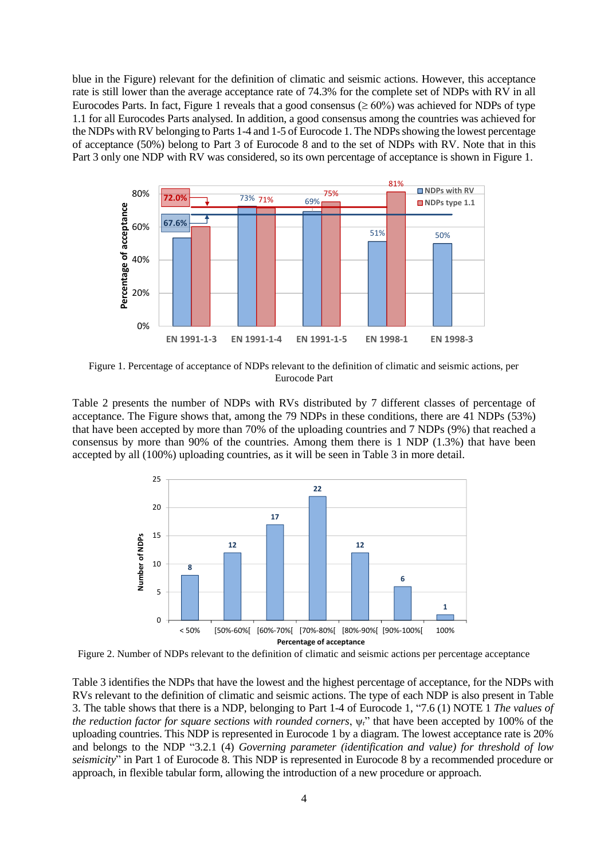blue in the Figure) relevant for the definition of climatic and seismic actions. However, this acceptance rate is still lower than the average acceptance rate of 74.3% for the complete set of NDPs with RV in all Eurocodes Parts. In fact, [Figure 1](#page-3-0) reveals that a good consensus ( $\geq 60\%$ ) was achieved for NDPs of type 1.1 for all Eurocodes Parts analysed. In addition, a good consensus among the countries was achieved for the NDPs with RV belonging to Parts 1-4 and 1-5 of Eurocode 1. The NDPs showing the lowest percentage of acceptance (50%) belong to Part 3 of Eurocode 8 and to the set of NDPs with RV. Note that in this Part 3 only one NDP with RV was considered, so its own percentage of acceptance is shown in [Figure 1.](#page-3-0)



<span id="page-3-0"></span>Figure 1. Percentage of acceptance of NDPs relevant to the definition of climatic and seismic actions, per Eurocode Part

[Table 2](#page-2-1) presents the number of NDPs with RVs distributed by 7 different classes of percentage of acceptance. The Figure shows that, among the 79 NDPs in these conditions, there are 41 NDPs (53%) that have been accepted by more than 70% of the uploading countries and 7 NDPs (9%) that reached a consensus by more than 90% of the countries. Among them there is 1 NDP (1.3%) that have been accepted by all (100%) uploading countries, as it will be seen in [Table 3](#page-4-0) in more detail.



Figure 2. Number of NDPs relevant to the definition of climatic and seismic actions per percentage acceptance

[Table 3](#page-4-0) identifies the NDPs that have the lowest and the highest percentage of acceptance, for the NDPs with RVs relevant to the definition of climatic and seismic actions. The type of each NDP is also present in [Table](#page-4-0)  [3.](#page-4-0) The table shows that there is a NDP, belonging to Part 1-4 of Eurocode 1, "7.6 (1) NOTE 1 *The values of the reduction factor for square sections with rounded corners*, ψr" that have been accepted by 100% of the uploading countries. This NDP is represented in Eurocode 1 by a diagram. The lowest acceptance rate is 20% and belongs to the NDP "3.2.1 (4) *Governing parameter (identification and value) for threshold of low seismicity*" in Part 1 of Eurocode 8. This NDP is represented in Eurocode 8 by a recommended procedure or approach, in flexible tabular form, allowing the introduction of a new procedure or approach.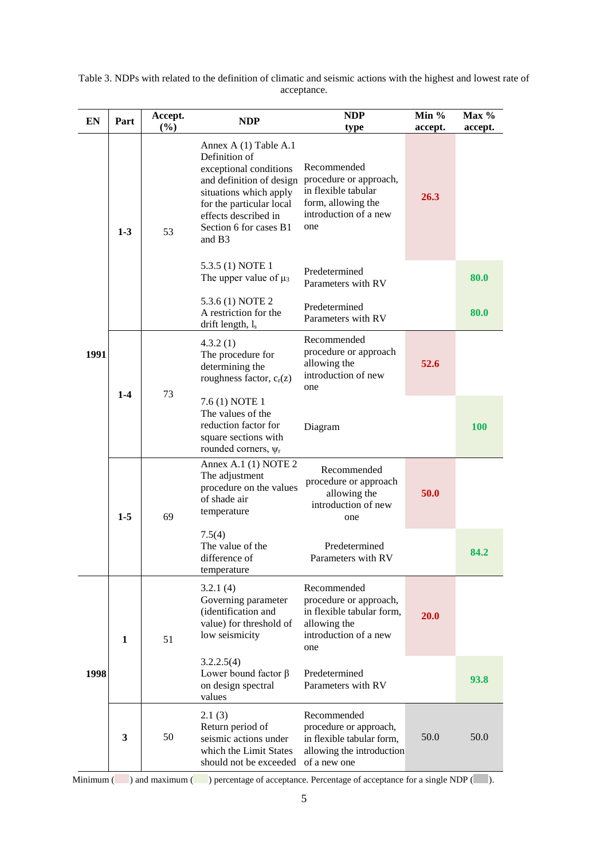| EN        | Part          | Accept.<br>(%)    | <b>NDP</b>                                                                                                                                                                                                                 | <b>NDP</b><br>type                                                                                                 | Min $%$<br>accept. | Max $%$<br>accept. |  |  |
|-----------|---------------|-------------------|----------------------------------------------------------------------------------------------------------------------------------------------------------------------------------------------------------------------------|--------------------------------------------------------------------------------------------------------------------|--------------------|--------------------|--|--|
|           | 53<br>$1 - 3$ |                   | Annex A (1) Table A.1<br>Definition of<br>exceptional conditions<br>and definition of design<br>situations which apply<br>for the particular local<br>effects described in<br>Section 6 for cases B1<br>and B <sub>3</sub> | Recommended<br>procedure or approach,<br>in flexible tabular<br>form, allowing the<br>introduction of a new<br>one | 26.3               |                    |  |  |
|           |               |                   | 5.3.5 (1) NOTE 1<br>The upper value of $\mu_3$                                                                                                                                                                             | Predetermined<br>Parameters with RV                                                                                |                    | 80.0               |  |  |
|           |               |                   | 5.3.6 (1) NOTE 2<br>A restriction for the<br>drift length, $l_s$                                                                                                                                                           | Predetermined<br>Parameters with RV                                                                                |                    | 80.0               |  |  |
| 1991      |               | $1 - 4$<br>73     | 4.3.2(1)<br>The procedure for<br>determining the<br>roughness factor, $c_r(z)$                                                                                                                                             | Recommended<br>procedure or approach<br>allowing the<br>introduction of new<br>one                                 | 52.6               |                    |  |  |
|           |               |                   | 7.6 (1) NOTE 1<br>The values of the<br>reduction factor for<br>square sections with<br>rounded corners, $\psi$ r                                                                                                           | Diagram                                                                                                            |                    | <b>100</b>         |  |  |
|           | $1 - 5$       | 69                | Annex A.1 (1) NOTE 2<br>The adjustment<br>procedure on the values<br>of shade air<br>temperature                                                                                                                           | Recommended<br>procedure or approach<br>allowing the<br>introduction of new<br>one                                 | 50.0               |                    |  |  |
|           |               |                   | 7.5(4)<br>The value of the<br>difference of<br>temperature                                                                                                                                                                 | Predetermined<br>Parameters with RV                                                                                |                    | 84.2               |  |  |
|           | $\mathbf{1}$  | 51                | 3.2.1(4)<br>Governing parameter<br>(identification and<br>value) for threshold of<br>low seismicity                                                                                                                        | Recommended<br>procedure or approach,<br>in flexible tabular form,<br>allowing the<br>introduction of a new<br>one | 20.0               |                    |  |  |
| 1998      |               |                   | 3.2.2.5(4)<br>Lower bound factor $\beta$<br>on design spectral<br>values                                                                                                                                                   | Predetermined<br>Parameters with RV                                                                                |                    | 93.8               |  |  |
|           | 3             | 50                | 2.1(3)<br>Return period of<br>seismic actions under<br>which the Limit States<br>should not be exceeded                                                                                                                    | Recommended<br>procedure or approach,<br>in flexible tabular form,<br>allowing the introduction<br>of a new one    | 50.0               | 50.0               |  |  |
| Minimum ( |               | ) and maximum $($ | percentage of acceptance. Percentage of acceptance for a single NDP (                                                                                                                                                      |                                                                                                                    |                    |                    |  |  |

<span id="page-4-0"></span>

| Table 3. NDPs with related to the definition of climatic and seismic actions with the highest and lowest rate of |             |  |  |  |
|------------------------------------------------------------------------------------------------------------------|-------------|--|--|--|
|                                                                                                                  | acceptance. |  |  |  |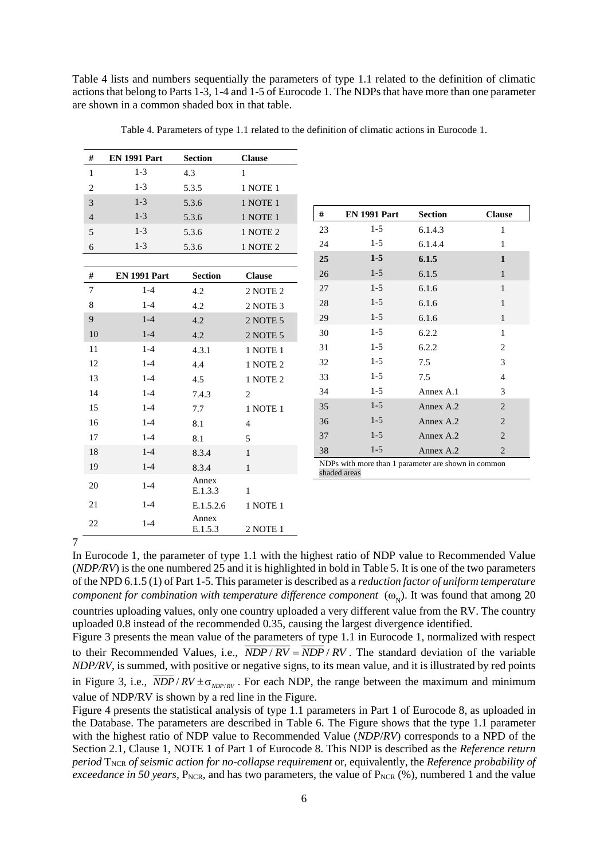[Table 4](#page-5-0) lists and numbers sequentially the parameters of type 1.1 related to the definition of climatic actions that belong to Parts 1-3, 1-4 and 1-5 of Eurocode 1. The NDPs that have more than one parameter are shown in a common shaded box in that table.

<span id="page-5-0"></span>

| #              | <b>EN 1991 Part</b> | <b>Section</b>   | <b>Clause</b>   |    |                                                                     |                |                |
|----------------|---------------------|------------------|-----------------|----|---------------------------------------------------------------------|----------------|----------------|
| $\mathbf{1}$   | $1-3$               | 4.3              | $\mathbf{1}$    |    |                                                                     |                |                |
| $\overline{2}$ | $1-3$               | 5.3.5            | 1 NOTE 1        |    |                                                                     |                |                |
| $\overline{3}$ | $1-3$               | 5.3.6            | 1 NOTE 1        |    |                                                                     |                |                |
| $\overline{4}$ | $1 - 3$             | 5.3.6            | 1 NOTE 1        | #  | <b>EN 1991 Part</b>                                                 | <b>Section</b> | <b>Clause</b>  |
| 5              | $1-3$               | 5.3.6            | $1$ NOTE $2$    | 23 | $1-5$                                                               | 6.1.4.3        | $\mathbf{1}$   |
| 6              | $1-3$               | 5.3.6            | <b>1 NOTE 2</b> | 24 | $1 - 5$                                                             | 6.1.4.4        | $\mathbf{1}$   |
|                |                     |                  |                 | 25 | $1-5$                                                               | 6.1.5          | $\mathbf{1}$   |
| $\#$           | <b>EN 1991 Part</b> | <b>Section</b>   | <b>Clause</b>   | 26 | $1 - 5$                                                             | 6.1.5          | $\mathbf{1}$   |
| $\tau$         | $1-4$               | 4.2              | 2 NOTE 2        | 27 | $1 - 5$                                                             | 6.1.6          | $\mathbf{1}$   |
| $\,8\,$        | $1-4$               | 4.2              | 2 NOTE 3        | 28 | $1-5$                                                               | 6.1.6          | $\mathbf{1}$   |
| 9              | $1 - 4$             | 4.2              | 2 NOTE 5        | 29 | $1-5$                                                               | 6.1.6          | $\mathbf{1}$   |
| 10             | $1-4$               | 4.2              | 2 NOTE 5        | 30 | $1-5$                                                               | 6.2.2          | $\mathbf{1}$   |
| 11             | $1-4$               | 4.3.1            | 1 NOTE 1        | 31 | $1-5$                                                               | 6.2.2          | $\overline{c}$ |
| 12             | $1-4$               | 4.4              | 1 NOTE 2        | 32 | $1 - 5$                                                             | 7.5            | 3              |
| 13             | $1-4$               | 4.5              | 1 NOTE 2        | 33 | $1-5$                                                               | 7.5            | $\overline{4}$ |
| 14             | $1 - 4$             | 7.4.3            | 2               | 34 | $1 - 5$                                                             | Annex A.1      | 3              |
| 15             | $1 - 4$             | 7.7              | 1 NOTE 1        | 35 | $1-5$                                                               | Annex A.2      | $\overline{c}$ |
| 16             | $1 - 4$             | 8.1              | $\overline{4}$  | 36 | $1-5$                                                               | Annex A.2      | $\mathbf{2}$   |
| 17             | $1-4$               | 8.1              | 5               | 37 | $1-5$                                                               | Annex A.2      | $\overline{2}$ |
| 18             | $1-4$               | 8.3.4            | $\mathbf{1}$    | 38 | $1-5$                                                               | Annex A.2      | $\overline{2}$ |
| 19             | $1-4$               | 8.3.4            | $\mathbf{1}$    |    | NDPs with more than 1 parameter are shown in common<br>shaded areas |                |                |
| 20             | $1-4$               | Annex<br>E.1.3.3 | $\mathbf{1}$    |    |                                                                     |                |                |
| 21             | $1-4$               | E.1.5.2.6        | 1 NOTE 1        |    |                                                                     |                |                |
| 22             | $1 - 4$             | Annex<br>E.1.5.3 | 2 NOTE 1        |    |                                                                     |                |                |

Table 4. Parameters of type 1.1 related to the definition of climatic actions in Eurocode 1.

7

In Eurocode 1, the parameter of type 1.1 with the highest ratio of NDP value to Recommended Value (*NDP/RV*) is the one numbered 25 and it is highlighted in bold in [Table 5.](#page-6-0) It is one of the two parameters of the NPD 6.1.5 (1) of Part 1-5. This parameter is described as a *reduction factor of uniform temperature component for combination with temperature difference component*  $(\omega_{N})$ . It was found that among 20 countries uploading values, only one country uploaded a very different value from the RV. The country uploaded 0.8 instead of the recommended 0.35, causing the largest divergence identified.

[Figure 3](#page-6-1) presents the mean value of the parameters of type 1.1 in Eurocode 1, normalized with respect to their Recommended Values, i.e.,  $NDP / RV = NDP / RV$ . The standard deviation of the variable *NDP/RV*, is summed, with positive or negative signs, to its mean value, and it is illustrated by red points in [Figure 3,](#page-6-1) i.e.,  $NDP/RV \pm \sigma_{NDP/RV}$ . For each NDP, the range between the maximum and minimum value of NDP/RV is shown by a red line in the Figure.

[Figure 4](#page-6-2) presents the statistical analysis of type 1.1 parameters in Part 1 of Eurocode 8, as uploaded in the Database. The parameters are described in [Table 6.](#page-7-0) The Figure shows that the type 1.1 parameter with the highest ratio of NDP value to Recommended Value (*NDP*/*RV*) corresponds to a NPD of the Section 2.1, Clause 1, NOTE 1 of Part 1 of Eurocode 8. This NDP is described as the *Reference return period*  $T_{NCR}$  *of seismic action for no-collapse requirement* or, equivalently, the *Reference probability of exceedance in 50 years,*  $P_{NCR}$ , and has two parameters, the value of  $P_{NCR}$  (%), numbered 1 and the value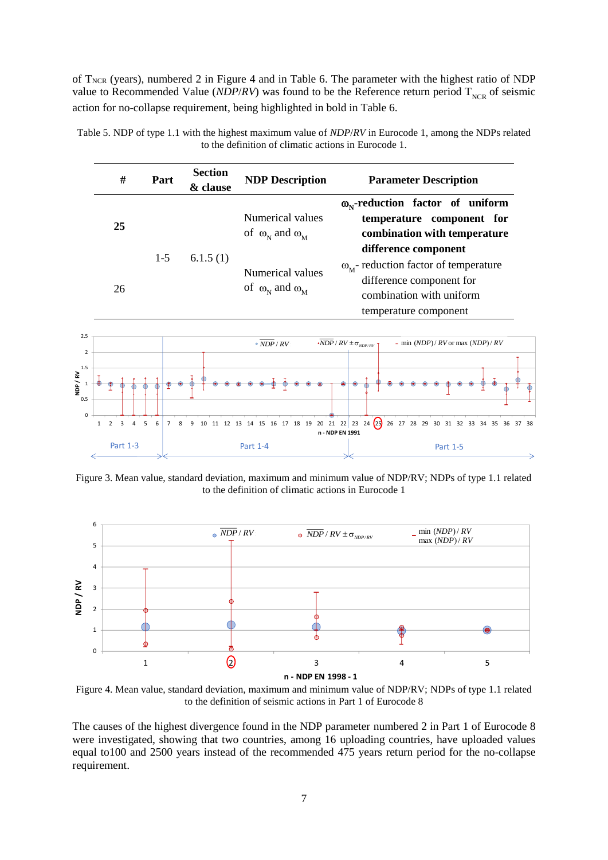of T<sub>NCR</sub> (years), numbered 2 in [Figure 4](#page-6-2) and in [Table 6.](#page-7-0) The parameter with the highest ratio of NDP value to Recommended Value (*NDP/RV*) was found to be the Reference return period  $T_{NCR}$  of seismic action for no-collapse requirement, being highlighted in bold in [Table 6.](#page-7-0)

| #           | Part                           | <b>Section</b><br>& clause | <b>NDP Description</b>                               | <b>Parameter Description</b>                                                                                                                                |
|-------------|--------------------------------|----------------------------|------------------------------------------------------|-------------------------------------------------------------------------------------------------------------------------------------------------------------|
| 25          |                                |                            | Numerical values<br>of $\omega_N$ and $\omega_M$     | $\omega_{N}$ -reduction factor of uniform<br>temperature component for<br>combination with temperature                                                      |
| 26          | $1 - 5$                        | 6.1.5(1)                   | Numerical values<br>of $\omega_{N}$ and $\omega_{M}$ | difference component<br>$\omega_{\rm M}$ - reduction factor of temperature<br>difference component for<br>combination with uniform<br>temperature component |
|             |                                |                            | $\bullet$ NDP / RV                                   | - min $(NDP)/RV$ or max $(NDP)/RV$<br>$\overline{\textbf{NDP}}$ / $RV$ $\pm$ $\sigma$ $\textbf{_{NDP/RV}}$ $\cdot$                                          |
|             |                                |                            |                                                      |                                                                                                                                                             |
| 2<br>3<br>1 | 6<br>$\overline{7}$<br>4<br>-5 | 8<br>9                     |                                                      | 10 11 12 13 14 15 16 17 18 19 20 21 22 23 24 23 26 27 28 29 30 31 32 33 34 35 36 37 38                                                                      |

<span id="page-6-0"></span>Table 5. NDP of type 1.1 with the highest maximum value of *NDP*/*RV* in Eurocode 1, among the NDPs related to the definition of climatic actions in Eurocode 1.

<span id="page-6-1"></span>Figure 3. Mean value, standard deviation, maximum and minimum value of NDP/RV; NDPs of type 1.1 related to the definition of climatic actions in Eurocode 1

Part 1-3 Part 1-4 Part 1-5

**n - NDP EN 1991** 



<span id="page-6-2"></span>Figure 4. Mean value, standard deviation, maximum and minimum value of NDP/RV; NDPs of type 1.1 related to the definition of seismic actions in Part 1 of Eurocode 8

The causes of the highest divergence found in the NDP parameter numbered 2 in Part 1 of Eurocode 8 were investigated, showing that two countries, among 16 uploading countries, have uploaded values equal to100 and 2500 years instead of the recommended 475 years return period for the no-collapse requirement.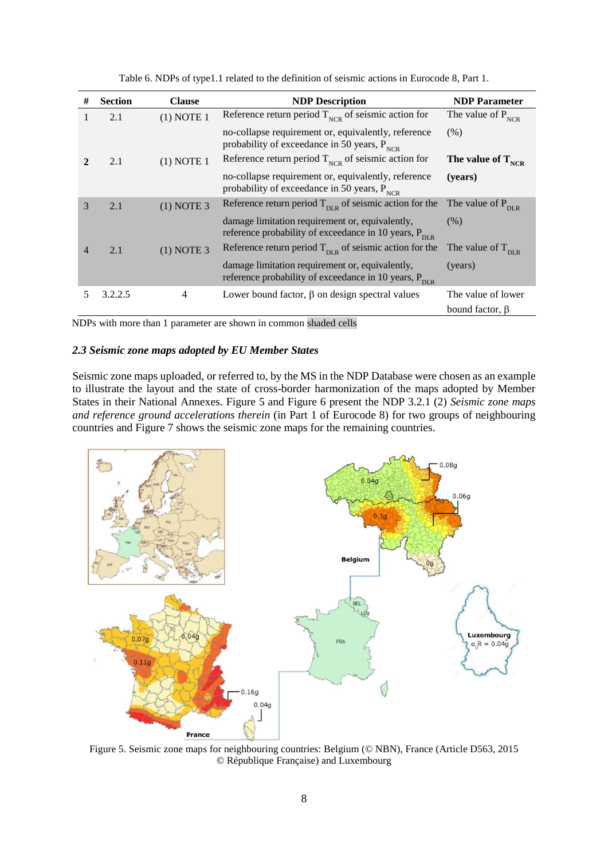<span id="page-7-0"></span>

| #              | <b>Section</b> | <b>Clause</b> | <b>NDP</b> Description                                                                                               | <b>NDP</b> Parameter          |
|----------------|----------------|---------------|----------------------------------------------------------------------------------------------------------------------|-------------------------------|
|                | 2.1            | $(1)$ NOTE 1  | Reference return period $T_{NCR}$ of seismic action for                                                              | The value of $P_{NCR}$        |
|                |                |               | no-collapse requirement or, equivalently, reference<br>probability of exceedance in 50 years, $P_{NCR}$              | (% )                          |
|                | 2.1            | $(1)$ NOTE 1  | Reference return period $T_{NCR}$ of seismic action for                                                              | The value of $T_{NCR}$        |
|                |                |               | no-collapse requirement or, equivalently, reference<br>probability of exceedance in 50 years, $P_{NCR}$              | (years)                       |
| 3              | 2.1            | $(1)$ NOTE 3  | Reference return period $T_{\text{DLR}}$ of seismic action for the                                                   | The value of $P_{\text{DLR}}$ |
|                |                |               | damage limitation requirement or, equivalently,<br>reference probability of exceedance in 10 years, $P_{\text{DLR}}$ | (% )                          |
| $\overline{4}$ | 2.1            | $(1)$ NOTE 3  | Reference return period $T_{\text{DLR}}$ of seismic action for the                                                   | The value of $T_{\text{DLR}}$ |
|                |                |               | damage limitation requirement or, equivalently,<br>reference probability of exceedance in 10 years, $P_{\text{DLR}}$ | (years)                       |
| 5              | 3.2.2.5        | 4             | Lower bound factor, $\beta$ on design spectral values                                                                | The value of lower            |
|                |                |               |                                                                                                                      | bound factor, $\beta$         |

Table 6. NDPs of type1.1 related to the definition of seismic actions in Eurocode 8, Part 1.

NDPs with more than 1 parameter are shown in common shaded cells

#### *2.3 Seismic zone maps adopted by EU Member States*

Seismic zone maps uploaded, or referred to, by the MS in the NDP Database were chosen as an example to illustrate the layout and the state of cross-border harmonization of the maps adopted by Member States in their National Annexes. [Figure 5](#page-7-1) and [Figure 6](#page-8-0) present the NDP 3.2.1 (2) *Seismic zone maps and reference ground accelerations therein* (in Part 1 of Eurocode 8) for two groups of neighbouring countries and [Figure 7](#page-8-1) shows the seismic zone maps for the remaining countries.



<span id="page-7-1"></span>Figure 5. Seismic zone maps for neighbouring countries: Belgium (© NBN), France (Article D563, 2015 © République Française) and Luxembourg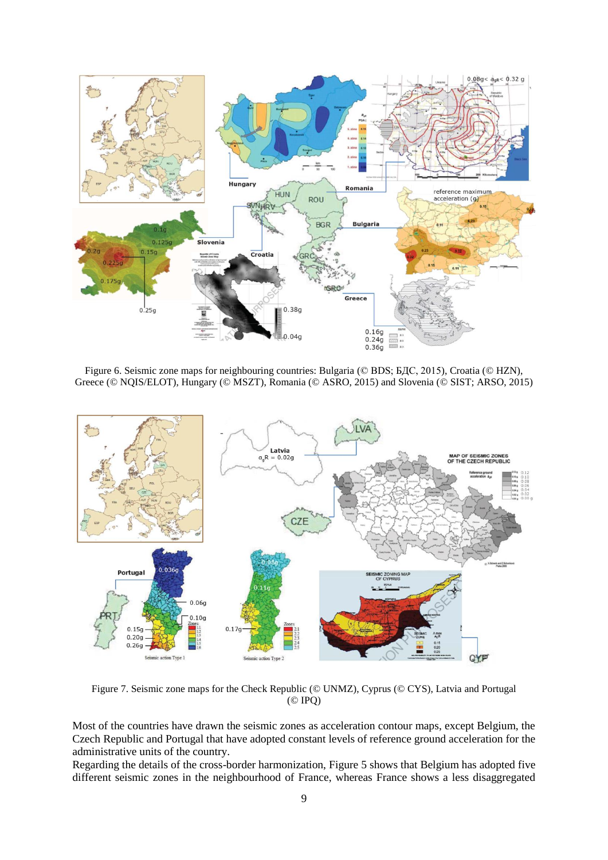

<span id="page-8-0"></span>Figure 6. Seismic zone maps for neighbouring countries: Bulgaria (© BDS; БДС, 2015), Croatia (© HZN), Greece (© NQIS/ELOT), Hungary (© MSZT), Romania (© ASRO, 2015) and Slovenia (© SIST; ARSO, 2015)



<span id="page-8-1"></span>Figure 7. Seismic zone maps for the Check Republic (© UNMZ), Cyprus (© CYS), Latvia and Portugal (© IPQ)

Most of the countries have drawn the seismic zones as acceleration contour maps, except Belgium, the Czech Republic and Portugal that have adopted constant levels of reference ground acceleration for the administrative units of the country.

Regarding the details of the cross-border harmonization, [Figure 5](#page-7-1) shows that Belgium has adopted five different seismic zones in the neighbourhood of France, whereas France shows a less disaggregated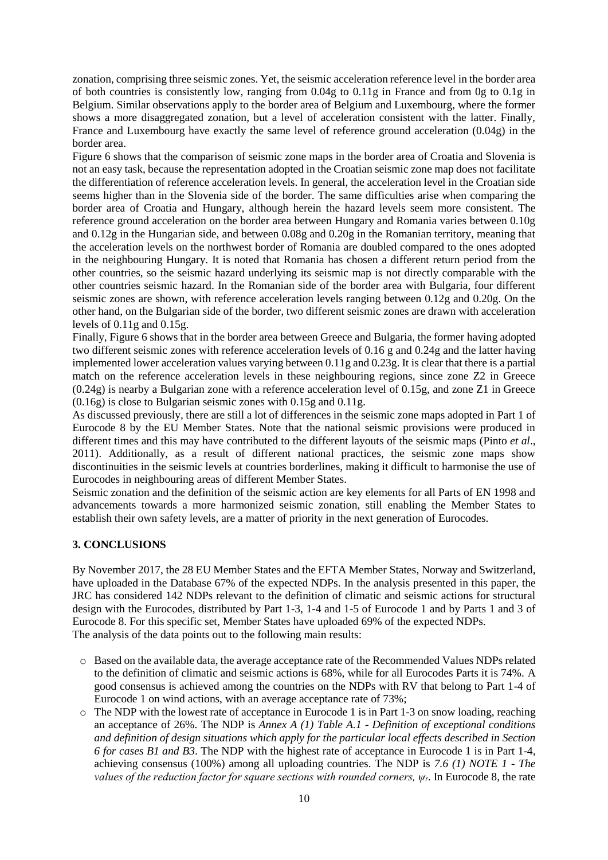zonation, comprising three seismic zones. Yet, the seismic acceleration reference level in the border area of both countries is consistently low, ranging from 0.04g to 0.11g in France and from 0g to 0.1g in Belgium. Similar observations apply to the border area of Belgium and Luxembourg, where the former shows a more disaggregated zonation, but a level of acceleration consistent with the latter. Finally, France and Luxembourg have exactly the same level of reference ground acceleration (0.04g) in the border area.

[Figure 6](#page-8-0) shows that the comparison of seismic zone maps in the border area of Croatia and Slovenia is not an easy task, because the representation adopted in the Croatian seismic zone map does not facilitate the differentiation of reference acceleration levels. In general, the acceleration level in the Croatian side seems higher than in the Slovenia side of the border. The same difficulties arise when comparing the border area of Croatia and Hungary, although herein the hazard levels seem more consistent. The reference ground acceleration on the border area between Hungary and Romania varies between 0.10g and 0.12g in the Hungarian side, and between 0.08g and 0.20g in the Romanian territory, meaning that the acceleration levels on the northwest border of Romania are doubled compared to the ones adopted in the neighbouring Hungary. It is noted that Romania has chosen a different return period from the other countries, so the seismic hazard underlying its seismic map is not directly comparable with the other countries seismic hazard. In the Romanian side of the border area with Bulgaria, four different seismic zones are shown, with reference acceleration levels ranging between 0.12g and 0.20g. On the other hand, on the Bulgarian side of the border, two different seismic zones are drawn with acceleration levels of 0.11g and 0.15g.

Finally, [Figure 6](#page-8-0) shows that in the border area between Greece and Bulgaria, the former having adopted two different seismic zones with reference acceleration levels of 0.16 g and 0.24g and the latter having implemented lower acceleration values varying between 0.11g and 0.23g. It is clear that there is a partial match on the reference acceleration levels in these neighbouring regions, since zone Z2 in Greece (0.24g) is nearby a Bulgarian zone with a reference acceleration level of 0.15g, and zone Z1 in Greece (0.16g) is close to Bulgarian seismic zones with 0.15g and 0.11g.

As discussed previously, there are still a lot of differences in the seismic zone maps adopted in Part 1 of Eurocode 8 by the EU Member States. Note that the national seismic provisions were produced in different times and this may have contributed to the different layouts of the seismic maps (Pinto *et al*., 2011). Additionally, as a result of different national practices, the seismic zone maps show discontinuities in the seismic levels at countries borderlines, making it difficult to harmonise the use of Eurocodes in neighbouring areas of different Member States.

Seismic zonation and the definition of the seismic action are key elements for all Parts of EN 1998 and advancements towards a more harmonized seismic zonation, still enabling the Member States to establish their own safety levels, are a matter of priority in the next generation of Eurocodes.

### **3. CONCLUSIONS**

By November 2017, the 28 EU Member States and the EFTA Member States, Norway and Switzerland, have uploaded in the Database 67% of the expected NDPs. In the analysis presented in this paper, the JRC has considered 142 NDPs relevant to the definition of climatic and seismic actions for structural design with the Eurocodes, distributed by Part 1-3, 1-4 and 1-5 of Eurocode 1 and by Parts 1 and 3 of Eurocode 8. For this specific set, Member States have uploaded 69% of the expected NDPs. The analysis of the data points out to the following main results:

- o Based on the available data, the average acceptance rate of the Recommended Values NDPs related to the definition of climatic and seismic actions is 68%, while for all Eurocodes Parts it is 74%. A good consensus is achieved among the countries on the NDPs with RV that belong to Part 1-4 of Eurocode 1 on wind actions, with an average acceptance rate of 73%;
- o The NDP with the lowest rate of acceptance in Eurocode 1 is in Part 1-3 on snow loading, reaching an acceptance of 26%. The NDP is *Annex A (1) Table A.1* - *Definition of exceptional conditions and definition of design situations which apply for the particular local effects described in Section 6 for cases B1 and B3*. The NDP with the highest rate of acceptance in Eurocode 1 is in Part 1-4, achieving consensus (100%) among all uploading countries. The NDP is *7.6 (1) NOTE 1* - *The values of the reduction factor for square sections with rounded corners, ψr.* In Eurocode 8, the rate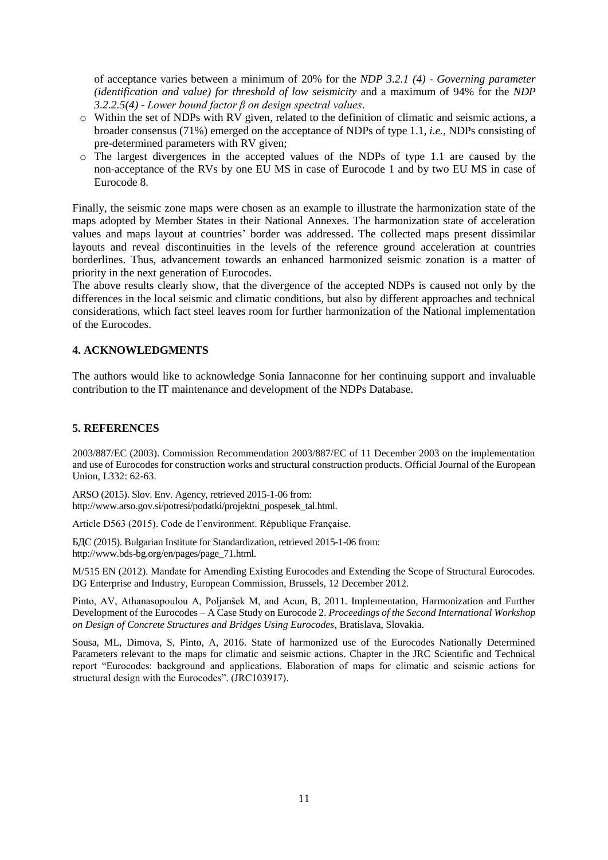of acceptance varies between a minimum of 20% for the *NDP 3.2.1 (4)* - *Governing parameter (identification and value) for threshold of low seismicity* and a maximum of 94% for the *NDP 3.2.2.5(4)* - *Lower bound factor β on design spectral values*.

- o Within the set of NDPs with RV given, related to the definition of climatic and seismic actions, a broader consensus (71%) emerged on the acceptance of NDPs of type 1.1, *i.e.,* NDPs consisting of pre-determined parameters with RV given;
- o The largest divergences in the accepted values of the NDPs of type 1.1 are caused by the non-acceptance of the RVs by one EU MS in case of Eurocode 1 and by two EU MS in case of Eurocode 8.

Finally, the seismic zone maps were chosen as an example to illustrate the harmonization state of the maps adopted by Member States in their National Annexes. The harmonization state of acceleration values and maps layout at countries' border was addressed. The collected maps present dissimilar layouts and reveal discontinuities in the levels of the reference ground acceleration at countries borderlines. Thus, advancement towards an enhanced harmonized seismic zonation is a matter of priority in the next generation of Eurocodes.

The above results clearly show, that the divergence of the accepted NDPs is caused not only by the differences in the local seismic and climatic conditions, but also by different approaches and technical considerations, which fact steel leaves room for further harmonization of the National implementation of the Eurocodes.

# **4. ACKNOWLEDGMENTS**

The authors would like to acknowledge Sonia Iannaconne for her continuing support and invaluable contribution to the IT maintenance and development of the NDPs Database.

### **5. REFERENCES**

2003/887/EC (2003). Commission Recommendation 2003/887/EC of 11 December 2003 on the implementation and use of Eurocodes for construction works and structural construction products. Official Journal of the European Union, L332: 62-63.

ARSO (2015). Slov. Env. Agency, retrieved 2015-1-06 from: http://www.arso.gov.si/potresi/podatki/projektni\_pospesek\_tal.html.

Article D563 (2015). Code de l'environment. République Française.

БДС (2015). Bulgarian Institute for Standardization, retrieved 2015-1-06 from: http://www.bds-bg.org/en/pages/page\_71.html.

M/515 EN (2012). Mandate for Amending Existing Eurocodes and Extending the Scope of Structural Eurocodes. DG Enterprise and Industry, European Commission, Brussels, 12 December 2012.

Pinto, AV, Athanasopoulou A, Poljanšek M, and Acun, B, 2011. Implementation, Harmonization and Further Development of the Eurocodes – A Case Study on Eurocode 2. *Proceedings of the Second International Workshop on Design of Concrete Structures and Bridges Using Eurocodes*, Bratislava, Slovakia.

Sousa, ML, Dimova, S, Pinto, A, 2016. State of harmonized use of the Eurocodes Nationally Determined Parameters relevant to the maps for climatic and seismic actions. Chapter in the JRC Scientific and Technical report "Eurocodes: background and applications. Elaboration of maps for climatic and seismic actions for structural design with the Eurocodes". (JRC103917).